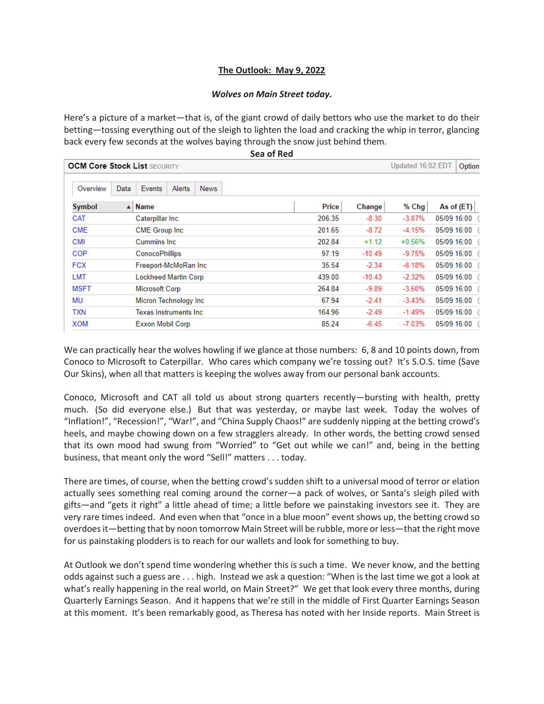## **The Outlook: May 9, 2022**

## *Wolves on Main Street today.*

Here's a picture of a market—that is, of the giant crowd of daily bettors who use the market to do their betting—tossing everything out of the sleigh to lighten the load and cracking the whip in terror, glancing back every few seconds at the wolves baying through the snow just behind them.

| Sea of Red                          |                                 |                               |        |             |  |        |          |                             |          |             |             |
|-------------------------------------|---------------------------------|-------------------------------|--------|-------------|--|--------|----------|-----------------------------|----------|-------------|-------------|
| <b>OCM Core Stock List SECURITY</b> |                                 |                               |        |             |  |        |          | Updated 16:02 EDT<br>Option |          |             |             |
| Overview                            | Data                            | Events                        | Alerts | <b>News</b> |  |        |          |                             |          |             |             |
| Symbol                              | <b>Name</b><br>$\blacktriangle$ |                               |        |             |  |        | Price    | Change                      | % Chg    |             | As of (ET)  |
| CAT                                 |                                 | Caterpillar Inc               |        |             |  |        | 206.35   | $-8.30$                     | $-3.87%$ |             | 05/09 16:00 |
| <b>CME</b>                          |                                 | CME Group Inc.                |        |             |  |        | 201.65   | $-8.72$                     | $-4.15%$ |             | 05/09 16:00 |
| <b>CMI</b>                          | <b>Cummins Inc.</b>             |                               |        |             |  |        | 202.84   | $+1.12$                     | $+0.56%$ |             | 05/09 16:00 |
| COP                                 |                                 | <b>ConocoPhillips</b>         |        |             |  |        | 97.19    | $-10.49$                    | $-9.75%$ |             | 05/09 16:00 |
| <b>FCX</b>                          |                                 | Freeport-McMoRan Inc          |        |             |  |        | 35.54    | $-2.34$                     | $-6.18%$ |             | 05/09 16:00 |
| LMT                                 |                                 | <b>Lockheed Martin Corp</b>   |        |             |  | 439.00 | $-10.43$ | $-2.32%$                    |          | 05/09 16:00 |             |
| MSFT                                |                                 | Microsoft Corp                |        |             |  |        | 264.84   | $-9.89$                     | $-3.60%$ |             | 05/09 16:00 |
| MU                                  |                                 | Micron Technology Inc.        |        |             |  |        | 67.94    | $-2.41$                     | $-3.43%$ |             | 05/09 16:00 |
| TXN                                 |                                 | <b>Texas Instruments Inc.</b> |        |             |  |        | 164.96   | $-2.49$                     | $-1.49%$ |             | 05/09 16:00 |
| <b>XOM</b>                          |                                 | Exxon Mobil Corp              |        |             |  |        | 85.24    | $-6.45$                     | $-7.03%$ | 05/09 16:00 |             |
|                                     |                                 |                               |        |             |  |        |          |                             |          |             |             |

We can practically hear the wolves howling if we glance at those numbers: 6, 8 and 10 points down, from Conoco to Microsoft to Caterpillar. Who cares which company we're tossing out? It's S.O.S. time (Save Our Skins), when all that matters is keeping the wolves away from our personal bank accounts.

Conoco, Microsoft and CAT all told us about strong quarters recently—bursting with health, pretty much. (So did everyone else.) But that was yesterday, or maybe last week. Today the wolves of "Inflation!", "Recession!", "War!", and "China Supply Chaos!" are suddenly nipping at the betting crowd's heels, and maybe chowing down on a few stragglers already. In other words, the betting crowd sensed that its own mood had swung from "Worried" to "Get out while we can!" and, being in the betting business, that meant only the word "Sell!" matters . . . today.

There are times, of course, when the betting crowd's sudden shift to a universal mood of terror or elation actually sees something real coming around the corner—a pack of wolves, or Santa's sleigh piled with gifts—and "gets it right" a little ahead of time; a little before we painstaking investors see it. They are very rare times indeed. And even when that "once in a blue moon" event shows up, the betting crowd so overdoes it—betting that by noon tomorrow Main Street will be rubble, more or less—that the right move for us painstaking plodders is to reach for our wallets and look for something to buy.

At Outlook we don't spend time wondering whether this is such a time. We never know, and the betting odds against such a guess are . . . high. Instead we ask a question: "When is the last time we got a look at what's really happening in the real world, on Main Street?" We get that look every three months, during Quarterly Earnings Season. And it happens that we're still in the middle of First Quarter Earnings Season at this moment. It's been remarkably good, as Theresa has noted with her Inside reports. Main Street is